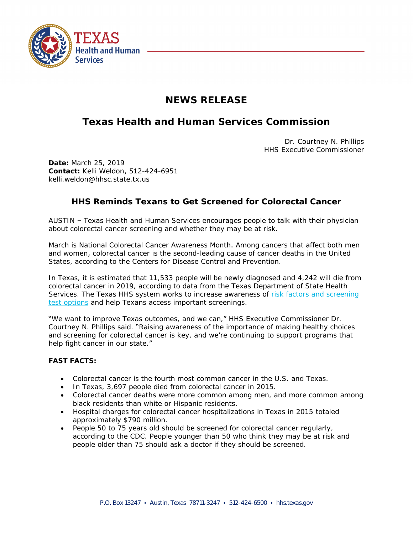

## **NEWS RELEASE**

## **Texas Health and Human Services Commission**

Dr. Courtney N. Phillips HHS Executive Commissioner

**Date:** March 25, 2019 **Contact:** Kelli Weldon, 512-424-6951 kelli.weldon@hhsc.state.tx.us

## **HHS Reminds Texans to Get Screened for Colorectal Cancer**

AUSTIN – Texas Health and Human Services encourages people to talk with their physician about colorectal cancer screening and whether they may be at risk.

March is National Colorectal Cancer Awareness Month. Among cancers that affect both men and women, [colorectal cancer](https://www.cdc.gov/cancer/colorectal/) is the second-leading cause of cancer deaths in the United States, according to the Centers for Disease Control and Prevention.

In Texas, it is estimated that 11,533 people will be newly diagnosed and 4,242 will die from colorectal cancer in 2019, according to data from the Texas Department of State Health Services. The Texas HHS system works to increase awareness of risk factors and screening test options and help Texans access important screenings.

"We want to improve Texas outcomes, and we can," HHS Executive Commissioner Dr. Courtney N. Phillips said. "Raising awareness of the importance of making healthy choices and screening for colorectal cancer is key, and we're continuing to support programs that help fight cancer in our state."

## **FAST FACTS:**

- Colorectal cancer is the fourth most common cancer in the U.S. and Texas.
- In Texas, 3,697 people died from colorectal cancer in 2015.
- Colorectal cancer deaths were more common among men, and more common among black residents than white or Hispanic residents.
- Hospital charges for colorectal cancer hospitalizations in Texas in 2015 totaled approximately \$790 million.
- People 50 to 75 years old should be screened for colorectal cancer regularly, according to the CDC. People younger than 50 who think they may be at risk and people older than 75 should ask a doctor if they should be screened.